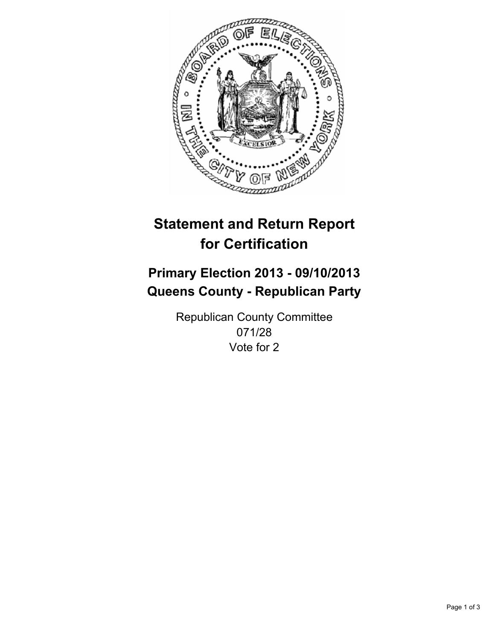

# **Statement and Return Report for Certification**

## **Primary Election 2013 - 09/10/2013 Queens County - Republican Party**

Republican County Committee 071/28 Vote for 2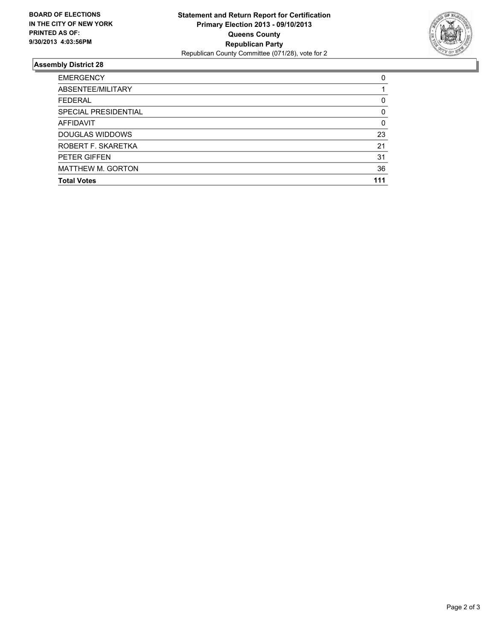

### **Assembly District 28**

| <b>EMERGENCY</b>         | 0   |
|--------------------------|-----|
| ABSENTEE/MILITARY        |     |
| <b>FEDERAL</b>           | 0   |
| SPECIAL PRESIDENTIAL     | 0   |
| <b>AFFIDAVIT</b>         | 0   |
| DOUGLAS WIDDOWS          | 23  |
| ROBERT F. SKARETKA       | 21  |
| PETER GIFFEN             | 31  |
| <b>MATTHEW M. GORTON</b> | 36  |
| <b>Total Votes</b>       | 111 |